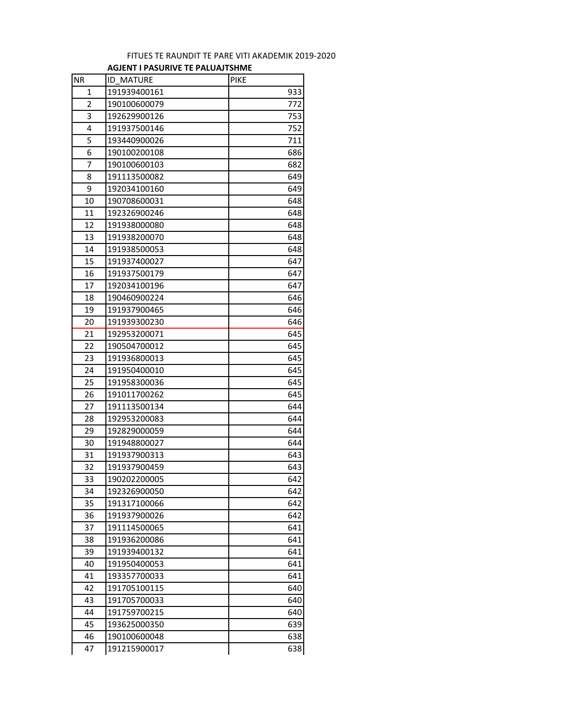## **AGJENT I PASURIVE TE PALUAJTSHME** FITUES TE RAUNDIT TE PARE VITI AKADEMIK 2019-2020

| <b>NR</b> | <b>ID MATURE</b> | <b>PIKE</b> |
|-----------|------------------|-------------|
| 1         | 191939400161     | 933         |
| 2         | 190100600079     | 772         |
| 3         | 192629900126     | 753         |
| 4         | 191937500146     | 752         |
| 5         | 193440900026     | 711         |
| 6         | 190100200108     | 686         |
| 7         | 190100600103     | 682         |
| 8         | 191113500082     | 649         |
| 9         | 192034100160     | 649         |
| 10        | 190708600031     | 648         |
| 11        | 192326900246     | 648         |
| 12        | 191938000080     | 648         |
| 13        | 191938200070     | 648         |
| 14        | 191938500053     | 648         |
| 15        | 191937400027     | 647         |
| 16        | 191937500179     | 647         |
| 17        | 192034100196     | 647         |
| 18        | 190460900224     | 646         |
| 19        | 191937900465     | 646         |
| 20        | 191939300230     | 646         |
| 21        | 192953200071     | 645         |
| 22        | 190504700012     | 645         |
| 23        | 191936800013     | 645         |
| 24        | 191950400010     | 645         |
| 25        | 191958300036     | 645         |
| 26        | 191011700262     | 645         |
| 27        | 191113500134     | 644         |
| 28        | 192953200083     | 644         |
| 29        | 192829000059     | 644         |
| 30        | 191948800027     | 644         |
| 31        | 191937900313     | 643         |
| 32        | 191937900459     | 643         |
| 33        | 190202200005     | 642         |
| 34        | 192326900050     | 642         |
| 35        | 191317100066     | 642         |
| 36        | 191937900026     | 642         |
| 37        | 191114500065     | 641         |
| 38        | 191936200086     | 641         |
| 39        | 191939400132     | 641         |
| 40        | 191950400053     | 641         |
| 41        | 193357700033     | 641         |
| 42        | 191705100115     | 640         |
| 43        | 191705700033     | 640         |
| 44        | 191759700215     | 640         |
| 45        | 193625000350     | 639         |
| 46        | 190100600048     | 638         |
| 47        | 191215900017     | 638         |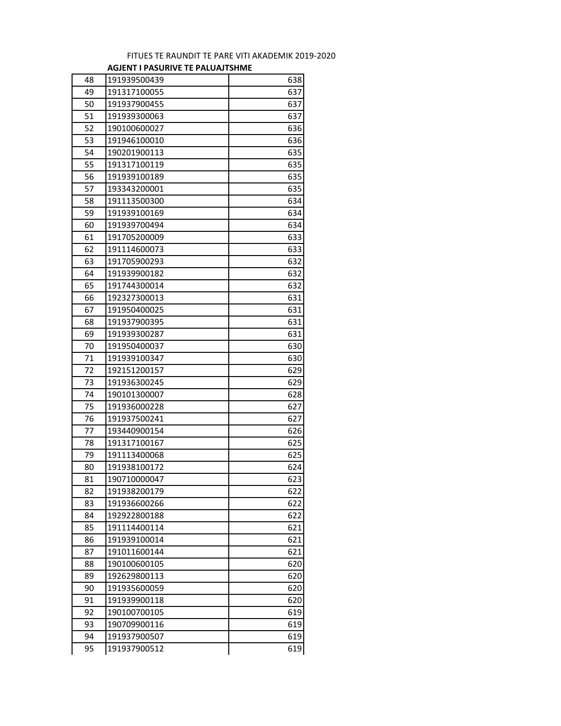## FITUES TE RAUNDIT TE PARE VITI AKADEMIK 2019-2020 **AGJENT I PASURIVE TE PALUAJTSHME**

| 48<br>191939500439<br>638<br>49<br>637<br>191317100055<br>637<br>50<br>191937900455<br>51<br>637<br>191939300063<br>636<br>52<br>190100600027<br>53<br>636<br>191946100010<br>54<br>635<br>190201900113<br>55<br>191317100119<br>635<br>56<br>635<br>191939100189<br>635<br>57<br>193343200001<br>58<br>634<br>191113500300<br>59<br>634<br>191939100169<br>634<br>60<br>191939700494<br>61<br>191705200009<br>633<br>62<br>633<br>191114600073<br>632<br>63<br>191705900293<br>64<br>632<br>191939900182<br>65<br>632<br>191744300014<br>631<br>66<br>192327300013<br>631<br>67<br>191950400025<br>68<br>191937900395<br>631<br>69<br>631<br>191939300287<br>630<br>191950400037<br>70<br>71<br>630<br>191939100347<br>629<br>72<br>192151200157<br>629<br>73<br>191936300245<br>190101300007<br>628<br>74<br>75<br>191936000228<br>627<br>76<br>191937500241<br>627<br>626<br>77<br>193440900154<br>625<br>78<br>191317100167<br>79<br>625<br>191113400068<br>191938100172<br>624<br>80<br>623<br>81<br>190710000047<br>82<br>191938200179<br>622<br>622<br>83<br>191936600266<br>84<br>622<br>192922800188<br>85<br>621<br>191114400114<br>621<br>86<br>191939100014<br>621<br>87<br>191011600144<br>88<br>190100600105<br>620<br>620<br>89<br>192629800113<br>191935600059<br>620<br>90<br>620<br>91<br>191939900118<br>92<br>619<br>190100700105<br>93<br>190709900116<br>619<br>94<br>619<br>191937900507<br>95<br>191937900512<br>619 |  |  |
|----------------------------------------------------------------------------------------------------------------------------------------------------------------------------------------------------------------------------------------------------------------------------------------------------------------------------------------------------------------------------------------------------------------------------------------------------------------------------------------------------------------------------------------------------------------------------------------------------------------------------------------------------------------------------------------------------------------------------------------------------------------------------------------------------------------------------------------------------------------------------------------------------------------------------------------------------------------------------------------------------------------------------------------------------------------------------------------------------------------------------------------------------------------------------------------------------------------------------------------------------------------------------------------------------------------------------------------------------------------------------------------------------------------------------------------------|--|--|
|                                                                                                                                                                                                                                                                                                                                                                                                                                                                                                                                                                                                                                                                                                                                                                                                                                                                                                                                                                                                                                                                                                                                                                                                                                                                                                                                                                                                                                              |  |  |
|                                                                                                                                                                                                                                                                                                                                                                                                                                                                                                                                                                                                                                                                                                                                                                                                                                                                                                                                                                                                                                                                                                                                                                                                                                                                                                                                                                                                                                              |  |  |
|                                                                                                                                                                                                                                                                                                                                                                                                                                                                                                                                                                                                                                                                                                                                                                                                                                                                                                                                                                                                                                                                                                                                                                                                                                                                                                                                                                                                                                              |  |  |
|                                                                                                                                                                                                                                                                                                                                                                                                                                                                                                                                                                                                                                                                                                                                                                                                                                                                                                                                                                                                                                                                                                                                                                                                                                                                                                                                                                                                                                              |  |  |
|                                                                                                                                                                                                                                                                                                                                                                                                                                                                                                                                                                                                                                                                                                                                                                                                                                                                                                                                                                                                                                                                                                                                                                                                                                                                                                                                                                                                                                              |  |  |
|                                                                                                                                                                                                                                                                                                                                                                                                                                                                                                                                                                                                                                                                                                                                                                                                                                                                                                                                                                                                                                                                                                                                                                                                                                                                                                                                                                                                                                              |  |  |
|                                                                                                                                                                                                                                                                                                                                                                                                                                                                                                                                                                                                                                                                                                                                                                                                                                                                                                                                                                                                                                                                                                                                                                                                                                                                                                                                                                                                                                              |  |  |
|                                                                                                                                                                                                                                                                                                                                                                                                                                                                                                                                                                                                                                                                                                                                                                                                                                                                                                                                                                                                                                                                                                                                                                                                                                                                                                                                                                                                                                              |  |  |
|                                                                                                                                                                                                                                                                                                                                                                                                                                                                                                                                                                                                                                                                                                                                                                                                                                                                                                                                                                                                                                                                                                                                                                                                                                                                                                                                                                                                                                              |  |  |
|                                                                                                                                                                                                                                                                                                                                                                                                                                                                                                                                                                                                                                                                                                                                                                                                                                                                                                                                                                                                                                                                                                                                                                                                                                                                                                                                                                                                                                              |  |  |
|                                                                                                                                                                                                                                                                                                                                                                                                                                                                                                                                                                                                                                                                                                                                                                                                                                                                                                                                                                                                                                                                                                                                                                                                                                                                                                                                                                                                                                              |  |  |
|                                                                                                                                                                                                                                                                                                                                                                                                                                                                                                                                                                                                                                                                                                                                                                                                                                                                                                                                                                                                                                                                                                                                                                                                                                                                                                                                                                                                                                              |  |  |
|                                                                                                                                                                                                                                                                                                                                                                                                                                                                                                                                                                                                                                                                                                                                                                                                                                                                                                                                                                                                                                                                                                                                                                                                                                                                                                                                                                                                                                              |  |  |
|                                                                                                                                                                                                                                                                                                                                                                                                                                                                                                                                                                                                                                                                                                                                                                                                                                                                                                                                                                                                                                                                                                                                                                                                                                                                                                                                                                                                                                              |  |  |
|                                                                                                                                                                                                                                                                                                                                                                                                                                                                                                                                                                                                                                                                                                                                                                                                                                                                                                                                                                                                                                                                                                                                                                                                                                                                                                                                                                                                                                              |  |  |
|                                                                                                                                                                                                                                                                                                                                                                                                                                                                                                                                                                                                                                                                                                                                                                                                                                                                                                                                                                                                                                                                                                                                                                                                                                                                                                                                                                                                                                              |  |  |
|                                                                                                                                                                                                                                                                                                                                                                                                                                                                                                                                                                                                                                                                                                                                                                                                                                                                                                                                                                                                                                                                                                                                                                                                                                                                                                                                                                                                                                              |  |  |
|                                                                                                                                                                                                                                                                                                                                                                                                                                                                                                                                                                                                                                                                                                                                                                                                                                                                                                                                                                                                                                                                                                                                                                                                                                                                                                                                                                                                                                              |  |  |
|                                                                                                                                                                                                                                                                                                                                                                                                                                                                                                                                                                                                                                                                                                                                                                                                                                                                                                                                                                                                                                                                                                                                                                                                                                                                                                                                                                                                                                              |  |  |
|                                                                                                                                                                                                                                                                                                                                                                                                                                                                                                                                                                                                                                                                                                                                                                                                                                                                                                                                                                                                                                                                                                                                                                                                                                                                                                                                                                                                                                              |  |  |
|                                                                                                                                                                                                                                                                                                                                                                                                                                                                                                                                                                                                                                                                                                                                                                                                                                                                                                                                                                                                                                                                                                                                                                                                                                                                                                                                                                                                                                              |  |  |
|                                                                                                                                                                                                                                                                                                                                                                                                                                                                                                                                                                                                                                                                                                                                                                                                                                                                                                                                                                                                                                                                                                                                                                                                                                                                                                                                                                                                                                              |  |  |
|                                                                                                                                                                                                                                                                                                                                                                                                                                                                                                                                                                                                                                                                                                                                                                                                                                                                                                                                                                                                                                                                                                                                                                                                                                                                                                                                                                                                                                              |  |  |
|                                                                                                                                                                                                                                                                                                                                                                                                                                                                                                                                                                                                                                                                                                                                                                                                                                                                                                                                                                                                                                                                                                                                                                                                                                                                                                                                                                                                                                              |  |  |
|                                                                                                                                                                                                                                                                                                                                                                                                                                                                                                                                                                                                                                                                                                                                                                                                                                                                                                                                                                                                                                                                                                                                                                                                                                                                                                                                                                                                                                              |  |  |
|                                                                                                                                                                                                                                                                                                                                                                                                                                                                                                                                                                                                                                                                                                                                                                                                                                                                                                                                                                                                                                                                                                                                                                                                                                                                                                                                                                                                                                              |  |  |
|                                                                                                                                                                                                                                                                                                                                                                                                                                                                                                                                                                                                                                                                                                                                                                                                                                                                                                                                                                                                                                                                                                                                                                                                                                                                                                                                                                                                                                              |  |  |
|                                                                                                                                                                                                                                                                                                                                                                                                                                                                                                                                                                                                                                                                                                                                                                                                                                                                                                                                                                                                                                                                                                                                                                                                                                                                                                                                                                                                                                              |  |  |
|                                                                                                                                                                                                                                                                                                                                                                                                                                                                                                                                                                                                                                                                                                                                                                                                                                                                                                                                                                                                                                                                                                                                                                                                                                                                                                                                                                                                                                              |  |  |
|                                                                                                                                                                                                                                                                                                                                                                                                                                                                                                                                                                                                                                                                                                                                                                                                                                                                                                                                                                                                                                                                                                                                                                                                                                                                                                                                                                                                                                              |  |  |
|                                                                                                                                                                                                                                                                                                                                                                                                                                                                                                                                                                                                                                                                                                                                                                                                                                                                                                                                                                                                                                                                                                                                                                                                                                                                                                                                                                                                                                              |  |  |
|                                                                                                                                                                                                                                                                                                                                                                                                                                                                                                                                                                                                                                                                                                                                                                                                                                                                                                                                                                                                                                                                                                                                                                                                                                                                                                                                                                                                                                              |  |  |
|                                                                                                                                                                                                                                                                                                                                                                                                                                                                                                                                                                                                                                                                                                                                                                                                                                                                                                                                                                                                                                                                                                                                                                                                                                                                                                                                                                                                                                              |  |  |
|                                                                                                                                                                                                                                                                                                                                                                                                                                                                                                                                                                                                                                                                                                                                                                                                                                                                                                                                                                                                                                                                                                                                                                                                                                                                                                                                                                                                                                              |  |  |
|                                                                                                                                                                                                                                                                                                                                                                                                                                                                                                                                                                                                                                                                                                                                                                                                                                                                                                                                                                                                                                                                                                                                                                                                                                                                                                                                                                                                                                              |  |  |
|                                                                                                                                                                                                                                                                                                                                                                                                                                                                                                                                                                                                                                                                                                                                                                                                                                                                                                                                                                                                                                                                                                                                                                                                                                                                                                                                                                                                                                              |  |  |
|                                                                                                                                                                                                                                                                                                                                                                                                                                                                                                                                                                                                                                                                                                                                                                                                                                                                                                                                                                                                                                                                                                                                                                                                                                                                                                                                                                                                                                              |  |  |
|                                                                                                                                                                                                                                                                                                                                                                                                                                                                                                                                                                                                                                                                                                                                                                                                                                                                                                                                                                                                                                                                                                                                                                                                                                                                                                                                                                                                                                              |  |  |
|                                                                                                                                                                                                                                                                                                                                                                                                                                                                                                                                                                                                                                                                                                                                                                                                                                                                                                                                                                                                                                                                                                                                                                                                                                                                                                                                                                                                                                              |  |  |
|                                                                                                                                                                                                                                                                                                                                                                                                                                                                                                                                                                                                                                                                                                                                                                                                                                                                                                                                                                                                                                                                                                                                                                                                                                                                                                                                                                                                                                              |  |  |
|                                                                                                                                                                                                                                                                                                                                                                                                                                                                                                                                                                                                                                                                                                                                                                                                                                                                                                                                                                                                                                                                                                                                                                                                                                                                                                                                                                                                                                              |  |  |
|                                                                                                                                                                                                                                                                                                                                                                                                                                                                                                                                                                                                                                                                                                                                                                                                                                                                                                                                                                                                                                                                                                                                                                                                                                                                                                                                                                                                                                              |  |  |
|                                                                                                                                                                                                                                                                                                                                                                                                                                                                                                                                                                                                                                                                                                                                                                                                                                                                                                                                                                                                                                                                                                                                                                                                                                                                                                                                                                                                                                              |  |  |
|                                                                                                                                                                                                                                                                                                                                                                                                                                                                                                                                                                                                                                                                                                                                                                                                                                                                                                                                                                                                                                                                                                                                                                                                                                                                                                                                                                                                                                              |  |  |
|                                                                                                                                                                                                                                                                                                                                                                                                                                                                                                                                                                                                                                                                                                                                                                                                                                                                                                                                                                                                                                                                                                                                                                                                                                                                                                                                                                                                                                              |  |  |
|                                                                                                                                                                                                                                                                                                                                                                                                                                                                                                                                                                                                                                                                                                                                                                                                                                                                                                                                                                                                                                                                                                                                                                                                                                                                                                                                                                                                                                              |  |  |
|                                                                                                                                                                                                                                                                                                                                                                                                                                                                                                                                                                                                                                                                                                                                                                                                                                                                                                                                                                                                                                                                                                                                                                                                                                                                                                                                                                                                                                              |  |  |
|                                                                                                                                                                                                                                                                                                                                                                                                                                                                                                                                                                                                                                                                                                                                                                                                                                                                                                                                                                                                                                                                                                                                                                                                                                                                                                                                                                                                                                              |  |  |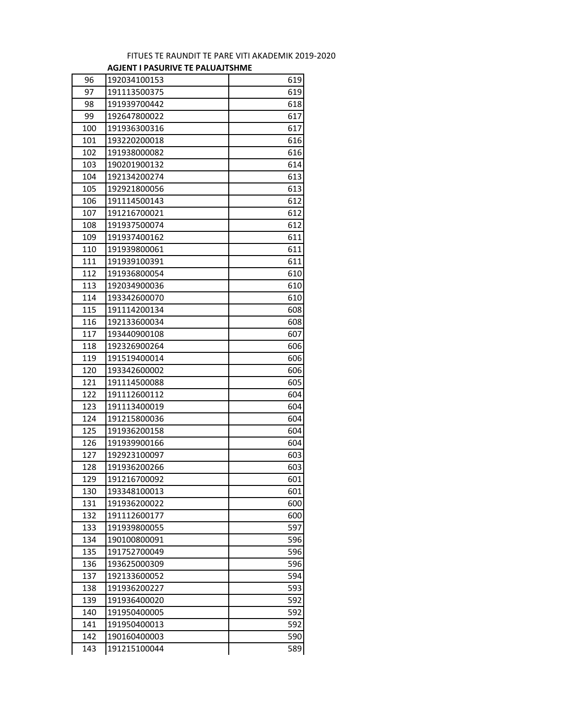## FITUES TE RAUNDIT TE PARE VITI AKADEMIK 2019-2020 **AGJENT I PASURIVE TE PALUAJTSHME**

| 96<br>619<br>192034100153<br>97<br>619<br>191113500375<br>618<br>98<br>191939700442<br>99<br>192647800022<br>617<br>617<br>100<br>191936300316<br>101<br>193220200018<br>616<br>102<br>616<br>191938000082<br>614<br>103<br>190201900132<br>104<br>613<br>192134200274<br>105<br>613<br>192921800056<br>106<br>191114500143<br>612<br>107<br>191216700021<br>612<br>191937500074<br>612<br>108<br>611<br>109<br>191937400162<br>110<br>611<br>191939800061<br>111<br>191939100391<br>611<br>112<br>191936800054<br>610<br>113<br>192034900036<br>610<br>114<br>610<br>193342600070<br>115<br>608<br>191114200134<br>116<br>192133600034<br>608<br>117<br>607<br>193440900108<br>118<br>192326900264<br>606<br>119<br>606<br>191519400014<br>606<br>120<br>193342600002 |
|------------------------------------------------------------------------------------------------------------------------------------------------------------------------------------------------------------------------------------------------------------------------------------------------------------------------------------------------------------------------------------------------------------------------------------------------------------------------------------------------------------------------------------------------------------------------------------------------------------------------------------------------------------------------------------------------------------------------------------------------------------------------|
|                                                                                                                                                                                                                                                                                                                                                                                                                                                                                                                                                                                                                                                                                                                                                                        |
|                                                                                                                                                                                                                                                                                                                                                                                                                                                                                                                                                                                                                                                                                                                                                                        |
|                                                                                                                                                                                                                                                                                                                                                                                                                                                                                                                                                                                                                                                                                                                                                                        |
|                                                                                                                                                                                                                                                                                                                                                                                                                                                                                                                                                                                                                                                                                                                                                                        |
|                                                                                                                                                                                                                                                                                                                                                                                                                                                                                                                                                                                                                                                                                                                                                                        |
|                                                                                                                                                                                                                                                                                                                                                                                                                                                                                                                                                                                                                                                                                                                                                                        |
|                                                                                                                                                                                                                                                                                                                                                                                                                                                                                                                                                                                                                                                                                                                                                                        |
|                                                                                                                                                                                                                                                                                                                                                                                                                                                                                                                                                                                                                                                                                                                                                                        |
|                                                                                                                                                                                                                                                                                                                                                                                                                                                                                                                                                                                                                                                                                                                                                                        |
|                                                                                                                                                                                                                                                                                                                                                                                                                                                                                                                                                                                                                                                                                                                                                                        |
|                                                                                                                                                                                                                                                                                                                                                                                                                                                                                                                                                                                                                                                                                                                                                                        |
|                                                                                                                                                                                                                                                                                                                                                                                                                                                                                                                                                                                                                                                                                                                                                                        |
|                                                                                                                                                                                                                                                                                                                                                                                                                                                                                                                                                                                                                                                                                                                                                                        |
|                                                                                                                                                                                                                                                                                                                                                                                                                                                                                                                                                                                                                                                                                                                                                                        |
|                                                                                                                                                                                                                                                                                                                                                                                                                                                                                                                                                                                                                                                                                                                                                                        |
|                                                                                                                                                                                                                                                                                                                                                                                                                                                                                                                                                                                                                                                                                                                                                                        |
|                                                                                                                                                                                                                                                                                                                                                                                                                                                                                                                                                                                                                                                                                                                                                                        |
|                                                                                                                                                                                                                                                                                                                                                                                                                                                                                                                                                                                                                                                                                                                                                                        |
|                                                                                                                                                                                                                                                                                                                                                                                                                                                                                                                                                                                                                                                                                                                                                                        |
|                                                                                                                                                                                                                                                                                                                                                                                                                                                                                                                                                                                                                                                                                                                                                                        |
|                                                                                                                                                                                                                                                                                                                                                                                                                                                                                                                                                                                                                                                                                                                                                                        |
|                                                                                                                                                                                                                                                                                                                                                                                                                                                                                                                                                                                                                                                                                                                                                                        |
|                                                                                                                                                                                                                                                                                                                                                                                                                                                                                                                                                                                                                                                                                                                                                                        |
|                                                                                                                                                                                                                                                                                                                                                                                                                                                                                                                                                                                                                                                                                                                                                                        |
|                                                                                                                                                                                                                                                                                                                                                                                                                                                                                                                                                                                                                                                                                                                                                                        |
| 121<br>191114500088<br>605                                                                                                                                                                                                                                                                                                                                                                                                                                                                                                                                                                                                                                                                                                                                             |
| 122<br>191112600112<br>604                                                                                                                                                                                                                                                                                                                                                                                                                                                                                                                                                                                                                                                                                                                                             |
| 123<br>191113400019<br>604                                                                                                                                                                                                                                                                                                                                                                                                                                                                                                                                                                                                                                                                                                                                             |
| 124<br>191215800036<br>604                                                                                                                                                                                                                                                                                                                                                                                                                                                                                                                                                                                                                                                                                                                                             |
| 125<br>604<br>191936200158                                                                                                                                                                                                                                                                                                                                                                                                                                                                                                                                                                                                                                                                                                                                             |
| 126<br>191939900166<br>604                                                                                                                                                                                                                                                                                                                                                                                                                                                                                                                                                                                                                                                                                                                                             |
| 127<br>192923100097<br>603                                                                                                                                                                                                                                                                                                                                                                                                                                                                                                                                                                                                                                                                                                                                             |
| 128<br>191936200266<br>603                                                                                                                                                                                                                                                                                                                                                                                                                                                                                                                                                                                                                                                                                                                                             |
| 129<br>191216700092<br>601                                                                                                                                                                                                                                                                                                                                                                                                                                                                                                                                                                                                                                                                                                                                             |
| 130<br>193348100013<br>601                                                                                                                                                                                                                                                                                                                                                                                                                                                                                                                                                                                                                                                                                                                                             |
| 131<br>191936200022<br>600                                                                                                                                                                                                                                                                                                                                                                                                                                                                                                                                                                                                                                                                                                                                             |
| 132<br>191112600177<br>600                                                                                                                                                                                                                                                                                                                                                                                                                                                                                                                                                                                                                                                                                                                                             |
| 597<br>133<br>191939800055                                                                                                                                                                                                                                                                                                                                                                                                                                                                                                                                                                                                                                                                                                                                             |
| 596<br>134<br>190100800091                                                                                                                                                                                                                                                                                                                                                                                                                                                                                                                                                                                                                                                                                                                                             |
| 596<br>135<br>191752700049                                                                                                                                                                                                                                                                                                                                                                                                                                                                                                                                                                                                                                                                                                                                             |
| 596<br>136<br>193625000309                                                                                                                                                                                                                                                                                                                                                                                                                                                                                                                                                                                                                                                                                                                                             |
| 594<br>137<br>192133600052                                                                                                                                                                                                                                                                                                                                                                                                                                                                                                                                                                                                                                                                                                                                             |
| 593<br>138<br>191936200227                                                                                                                                                                                                                                                                                                                                                                                                                                                                                                                                                                                                                                                                                                                                             |
| 139<br>592<br>191936400020                                                                                                                                                                                                                                                                                                                                                                                                                                                                                                                                                                                                                                                                                                                                             |
| 140<br>592<br>191950400005                                                                                                                                                                                                                                                                                                                                                                                                                                                                                                                                                                                                                                                                                                                                             |
| 141<br>592<br>191950400013                                                                                                                                                                                                                                                                                                                                                                                                                                                                                                                                                                                                                                                                                                                                             |
| 590<br>142<br>190160400003                                                                                                                                                                                                                                                                                                                                                                                                                                                                                                                                                                                                                                                                                                                                             |
| 589<br>143<br>191215100044                                                                                                                                                                                                                                                                                                                                                                                                                                                                                                                                                                                                                                                                                                                                             |